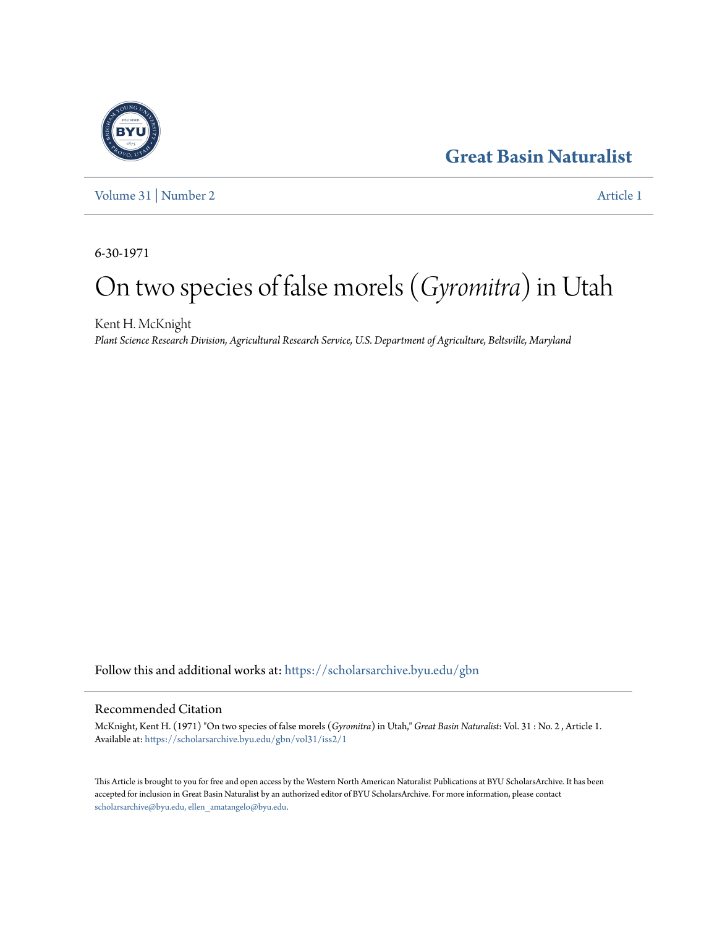## **[Great Basin Naturalist](https://scholarsarchive.byu.edu/gbn?utm_source=scholarsarchive.byu.edu%2Fgbn%2Fvol31%2Fiss2%2F1&utm_medium=PDF&utm_campaign=PDFCoverPages)**



[Volume 31](https://scholarsarchive.byu.edu/gbn/vol31?utm_source=scholarsarchive.byu.edu%2Fgbn%2Fvol31%2Fiss2%2F1&utm_medium=PDF&utm_campaign=PDFCoverPages) | [Number 2](https://scholarsarchive.byu.edu/gbn/vol31/iss2?utm_source=scholarsarchive.byu.edu%2Fgbn%2Fvol31%2Fiss2%2F1&utm_medium=PDF&utm_campaign=PDFCoverPages) [Article 1](https://scholarsarchive.byu.edu/gbn/vol31/iss2/1?utm_source=scholarsarchive.byu.edu%2Fgbn%2Fvol31%2Fiss2%2F1&utm_medium=PDF&utm_campaign=PDFCoverPages)

6-30-1971

# On two species of false morels (*Gyromitra*) in Utah

Kent H. McKnight *Plant Science Research Division, Agricultural Research Service, U.S. Department of Agriculture, Beltsville, Maryland*

Follow this and additional works at: [https://scholarsarchive.byu.edu/gbn](https://scholarsarchive.byu.edu/gbn?utm_source=scholarsarchive.byu.edu%2Fgbn%2Fvol31%2Fiss2%2F1&utm_medium=PDF&utm_campaign=PDFCoverPages)

### Recommended Citation

McKnight, Kent H. (1971) "On two species of false morels (*Gyromitra*) in Utah," *Great Basin Naturalist*: Vol. 31 : No. 2 , Article 1. Available at: [https://scholarsarchive.byu.edu/gbn/vol31/iss2/1](https://scholarsarchive.byu.edu/gbn/vol31/iss2/1?utm_source=scholarsarchive.byu.edu%2Fgbn%2Fvol31%2Fiss2%2F1&utm_medium=PDF&utm_campaign=PDFCoverPages)

This Article is brought to you for free and open access by the Western North American Naturalist Publications at BYU ScholarsArchive. It has been accepted for inclusion in Great Basin Naturalist by an authorized editor of BYU ScholarsArchive. For more information, please contact [scholarsarchive@byu.edu, ellen\\_amatangelo@byu.edu.](mailto:scholarsarchive@byu.edu,%20ellen_amatangelo@byu.edu)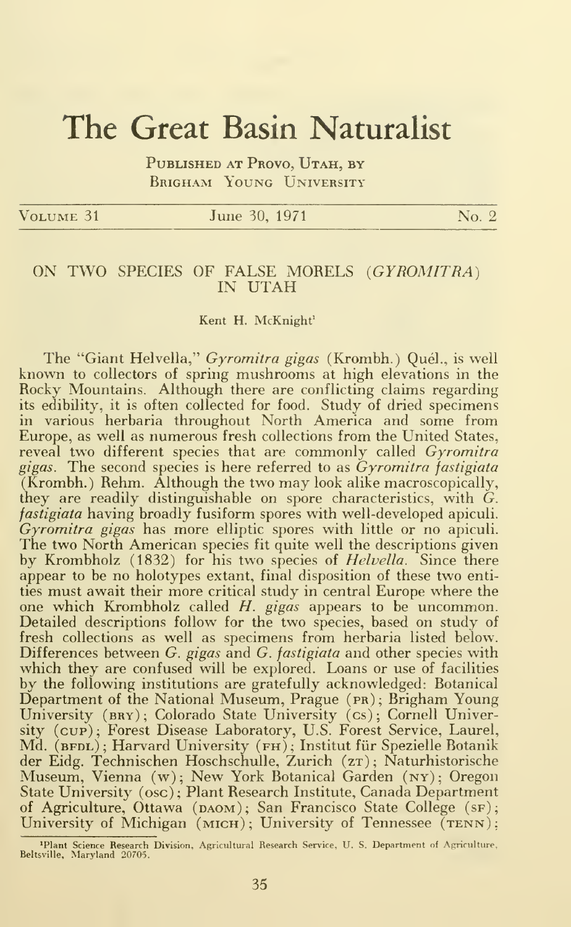## The Great Basin Naturalist

PUBLISHED AT PROVO, UTAH, BY Brigham Young University

|  |  |  | VOLUME 31 |  |
|--|--|--|-----------|--|
|  |  |  |           |  |

#### June 30, 1971  $N_0$ , 2

#### ON TWO SPECIES OF FALSE MORELS (GYROMITRA) IN UTAH

#### Kent H. McKnight<sup>1</sup>

The "Giant Helvella," Gyromitra gigas (Krombh.) Quel., is well known to collectors of spring mushrooms at high elevations in the Rocky Mountains. Although there are conflicting claims regarding its edibility, it is often collected for food. Study of dried specimens in various herbaria throughout North America and some from Europe, as well as numerous fresh collections from the United States, reveal two different species that are commonly called *Gyromitra* gigas. The second species is here referred to as Gyromitra fastigiata  $K$ rombh.) Rehm. Although the two may look alike macroscopically, they are readily distinguishable on spore characteristics, with  $\ddot{G}$ . fastigiata having broadly fusiform spores with well-developed apiculi.  $Gyr\ddot{\,}$  gigas has more elliptic spores with little or no apiculi. The two North American species fit quite well the descriptions given by Krombholz (1832) for his two species of *Helvella*. Since there appear to be no holotypes extant, final disposition of these two entities must await their more critical study in central Europe where the one which Krombholz called H. gigas appears to be uncommon. Detailed descriptions follow for the two species, based on study of fresh collections as well as specimens from herbaria listed below. Differences between G. gigas and G. fastigiata and other species with which they are confused will be explored. Loans or use of facilities by the following institutions are gratefully acknowledged: Botanical Department of the National Museum, Prague (PR); Brigham Young University (bry); Colorado State University (cs); Cornell University (cup); Forest Disease Laboratory, U.S. Forest Service, Laurel, Md. (вғоґ.); Harvard University (ғн); Institut für Spezielle Botanik der Eidg. Technischen Hoschschulle, Zurich (z $\tau$ ); Naturhistorische Museum, Vienna (w); New York Botanical Garden (NY); Oregon State University (osc); Plant Research Institute, Canada Department of Agriculture, Ottawa (p $A$ om); San Francisco State College (s $F$ ); University of Michigan (mich) ; University of Tennessee (tenn):

<sup>&#</sup>x27;Plant Science Research Division, Agricultural Research Service, U. S. Department of Agriculture,<br>Beltsville, Maryland 20705.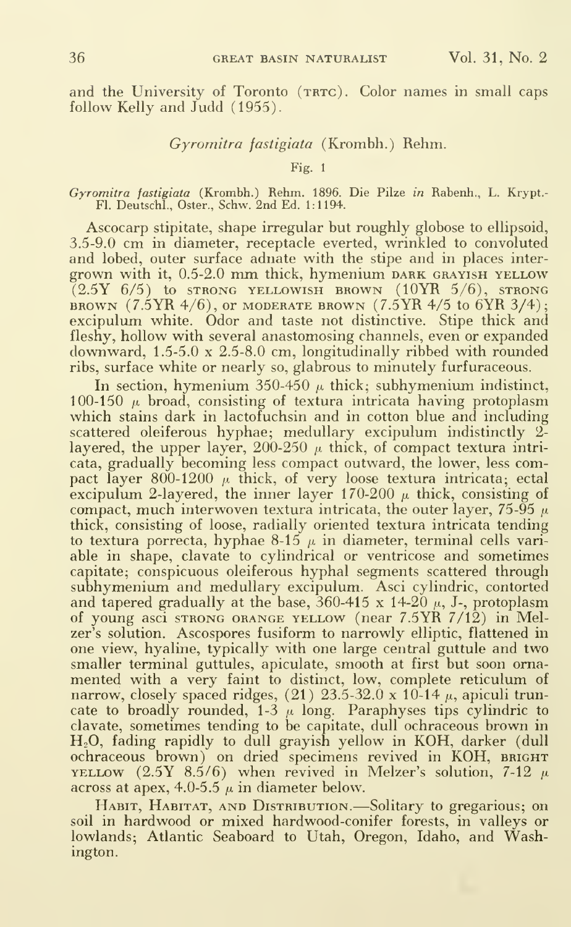and the University of Toronto (TRTC). Color names in small caps follow Kelly and Judd (1955).

#### Gyromitra fastigiata (Krombh.) Rehm.

#### Fig. <sup>1</sup>

#### Gyromitra fastigiata (Krombh.) Rehm. 1896. Die Pilze in Rabenh., L. Krypt.- Fl. Deutschl., Oster., Schw. 2nd Ed. 1:1194.

Ascocarp stipitate, shape irregular but roughly globose to ellipsoid, 3.5-9.0 cm in diameter, receptacle everted, wrinkled to convoluted and lobed, outer surface adnate with the stipe and in places inter grown with it,  $0.5$ -2.0 mm thick, hymenium  $\Delta R$  GRAYISH YELLOW  $(2.5Y\,6/5)$  to strong yellowish brown  $(10YR\,5/6)$ , strong **brown** (7.5YR 4/6), or MODERATE BROWN (7.5YR 4/5 to 6YR 3/4): excipulum white. Odor and taste not distinctive. Stipe thick and fleshy, hollow with several anastomosing channels, even or expanded downward, 1.5-5.0 x 2.5-8.0 cm, longitudinally ribbed with rounded ribs, surface white or nearly so, glabrous to minutely furfuraceous.

In section, hymenium  $350-450 \mu$  thick; subhymenium indistinct, 100-150  $\mu$  broad, consisting of textura intricata having protoplasm which stains dark in lactofuchsin and in cotton blue and including scattered oleiferous hyphae; medullary excipulum indistinctly  $2\overline{z}$ layered, the upper layer,  $200-250$   $\mu$  thick, of compact textura intricata, gradually becoming less compact outward, the lower, less compact layer 800-1200  $\mu$  thick, of very loose textura intricata; ectal excipulum 2-layered, the inner layer  $170-200 \mu$  thick, consisting of compact, much interwoven textura intricata, the outer layer,  $75-\frac{95}{10}$   $\mu$ thick, consisting of loose, radially oriented textura intricata tending to textura porrecta, hyphae 8-15  $\mu$  in diameter, terminal cells variable in shape, clavate to cylindrical or ventricose and sometimes capitate; conspicuous oleiferous hyphal segments scattered through subhymenium and medullary excipulum. Asci cylindric, contorted and tapered gradually at the base,  $360-415 \times 14-20 \mu$ , J-, protoplasm of young asci strong orange yellow (near  $7.5YR$   $7/12$ ) in Melzer's solution. Ascospores fusiform to narrowly elliptic, flattened in one view, hyaline, typically with one large central guttule and two smaller terminal guttules, apiculate, smooth at first but soon orna mented with a very faint to distinct, low, complete reticulum of narrow, closely spaced ridges,  $(21)$  23.5-32.0 x 10-14  $\mu$ , apiculi truncate to broadly rounded, 1-3  $\mu$  long. Paraphyses tips cylindric to clavate, sometimes tending to be capitate, dull ochraceous brown in H<sup>2</sup> 0, fading rapidly to dull grayish yellow in KOH, darker (dull ochraceous brown) on dried specimens revived in KOH, BRIGHT YELLOW (2.5Y 8.5/6) when revived in Melzer's solution, 7-12  $\mu$ across at apex, 4.0-5.5  $\mu$  in diameter below.

HABIT, HABITAT, AND DISTRIBUTION.—Solitary to gregarious; on soil in hardwood or mixed hardwood-conifer forests, in valleys or lowlands; Atlantic Seaboard to Utah, Oregon, Idaho, and Washington.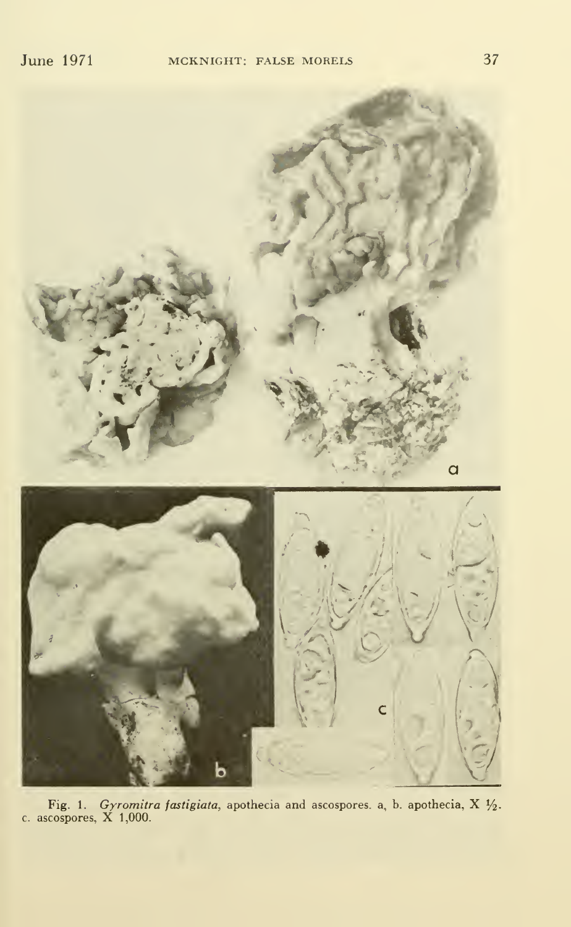

Fig. 1. *Gyromitra fastigiata*, apothecia and ascospores. a, b. apothecia, X  $\frac{1}{2}$ . c. ascospores, X 1,000.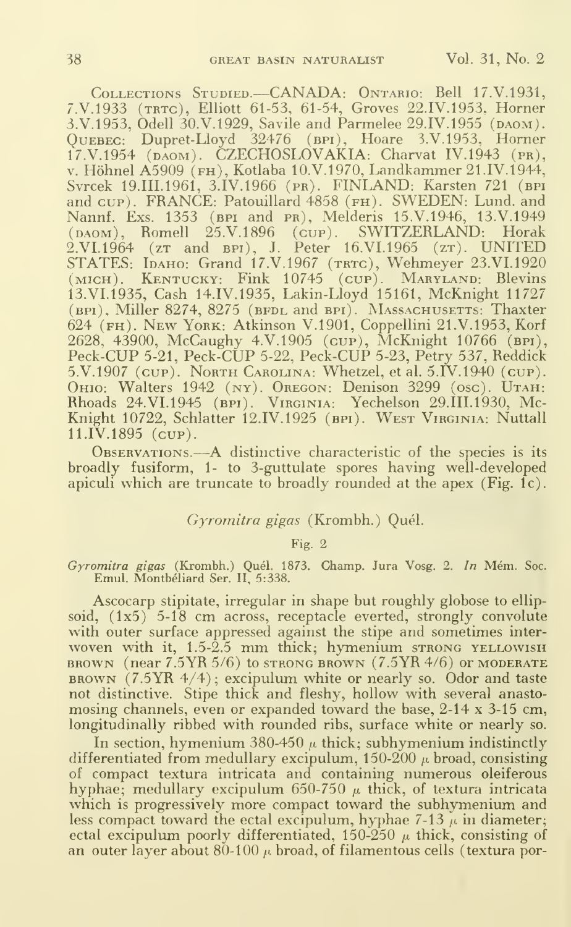Collections Studied.—CANADA: Ontario: Bell 17.V.1931, 7.V.1933 (TRTC), Elliott 61-53, 61-54, Groves 22.IV.1953, Horner 3.V.1953, Odell 30.V.1929, Savile and Parmelee 29.IV.1955 (DAOM). Quebec: Dupret-Lloyd 32476 (bpi), Hoare 3.V.1953, Horner 17.V.1954 (daom). CZECHOSLOVAKIA: Charvat IV.1943 (pr), v. Höhnel A5909 (FH), Kotlaba 10.V.1970, Landkammer 21.IV.1944, Svrcek 19.111.1961, 3.IV.1966 (pr). FINLAND: Karsten 721 (bpi and cup). FRANCE: Patouillard 4858 (FH). SWEDEN: Lund, and Nannf. Exs. 1353 (bpi and pr), Melderis 15.V.1946, 13.V.1949  $\rm (p_{AOM}),$  Romell  $\rm 25.V.1896$   $\rm (c\bar{c}$  . SWITZERLAND: Horak  $\rm \hat{2}.VI.1964$  (z $\rm \tau$  and  $\rm \texttt{BPI}$ ), J.  $\rm \hat{P}eter$  16. $VI.1965$  (z $\rm \tau)$ .  $\rm \textbf{UNITED}$ STATES: IDAHO: Grand 17.V.1967 (TRTC), Wehmeyer 23.VI.1920 (mich). Kentucky: Fink 10745 (cup). Maryland: Blevins 13.VI.1935, Cash 14.IV.1935, Lakin-Lloyd 15161, McKnight 11727 (BPI). Miller 8274, 8275 (BFDL and BPI). MASSACHUSETTS: Thaxter 624 (fh). New York: Atkinson V.1901, Coppellini 21.V.1953, Korf 2628, 43900, McCaughy 4.V.1905 (cup), McKnight 10766 (bpi), Peck-CUP 5-21, Peck-CUP 5-22, Peck-CUP 5-23, Petry 537, Reddick  $5.V.1907$  (CUP). NORTH CAROLINA: Whetzel, et al.  $5.IV.1940$  (CUP). OHIO: Walters 1942 (NY). OREGON: Denison 3299 (OSC). UTAH: Rhoads 24.VI.1945 (bpi). Virginia: Yechelson 29.111.1930, Mc-Knight 10722, Schlatter 12.IV.1925 (BPI). WEST VIRGINIA: Nuttall  $11.\check{IV}.1895$  (cup).

Observations.—<sup>A</sup> distinctive characteristic of the species is its broadly fusiform, 1- to 3-guttulate spores having well-developed apiculi which are truncate to broadly rounded at the apex (Fig.  $\text{fc}$ ).

#### Gyromitra gigas (Krombh.) Quel.

#### Fig. 2

Gyromitra gigas (Krombh.) Quél. 1873. Champ. Jura Vosg. 2. In Mém. Soc. Emul. Montbeliard Ser. II, 5:338.

Ascocarp stipitate, irregular in shape but roughly globose to ellipsoid,  $(1x5)$  5-18 cm across, receptacle everted, strongly convolute with outer surface appressed against the stipe and sometimes interwoven with it,  $1.5-\hat{2}.\overline{5}$  mm thick; hymenium strong YELLOWISH BROWN (near  $7.5\text{YR } 5/6$ ) to strong brown (7.5YR 4/6) or moderate BROWN  $(7.5 \text{YR} 4/4)$ ; excipulum white or nearly so. Odor and taste not distinctive. Stipe thick and fleshy, hollow with several anasto mosing channels, even or expanded toward the base, 2-14 x 3-15 cm, longitudinally ribbed with rounded ribs, surface white or nearly so.

In section, hymenium 380-450  $\mu$  thick; subhymenium indistinctly differentiated from medullary excipulum,  $150-200 \mu$  broad, consisting of compact textura intricata and containing numerous oleiferous hyphae; medullary excipulum 650-750  $\mu$  thick, of textura intricata which is progressively more compact toward the subhymenium and less compact toward the ectal excipulum, hyphae 7-13  $\mu$  in diameter; ectal excipulum poorly differentiated,  $150-250 \mu$  thick, consisting of an outer layer about  $80-100 \mu$  broad, of filamentous cells (textura por-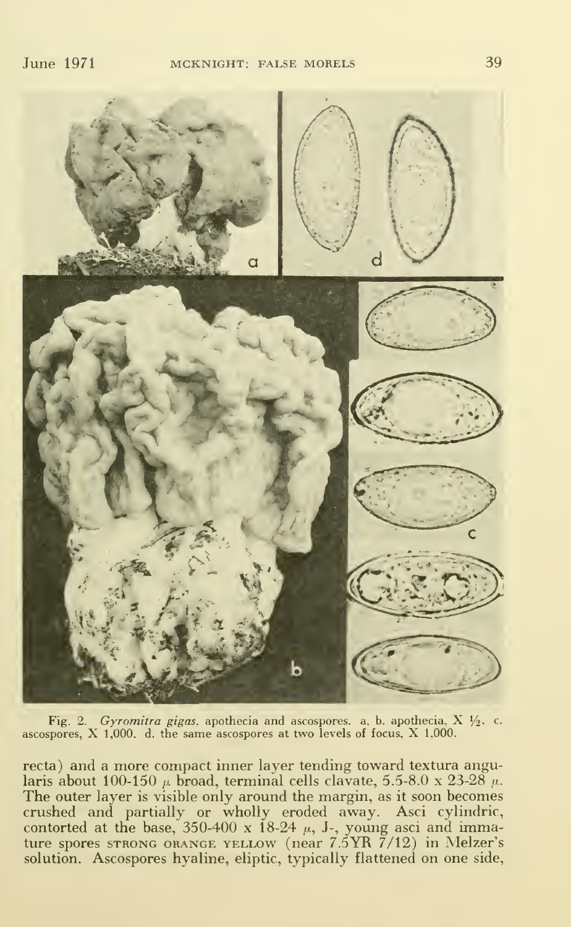

Fig. 2. Gyromitra gigas, apothecia and ascospores. a, b. apothecia,  $X \frac{1}{2}$ . c. ascospores, X 1,000. d. the same ascospores at two levels of focus, X 1,000.

recta) and a more compact inner layer tending toward textura angularis about 100-150  $\mu$  broad, terminal cells clavate, 5.5-8.0 x 23-28  $\mu$ . The outer layer is visible only around the margin, as it soon becomes crushed and partially or wholly eroded away. Asci cylindric, contorted at the base, 350-400 x 18-24  $\mu$ , J-, young asci and immature spores strong orange yellow (near  $7.5\,\mathrm{YR}$   $7/12$ ) in Melzer's solution. Ascospores hyaline, eliptic, typically flattened on one side,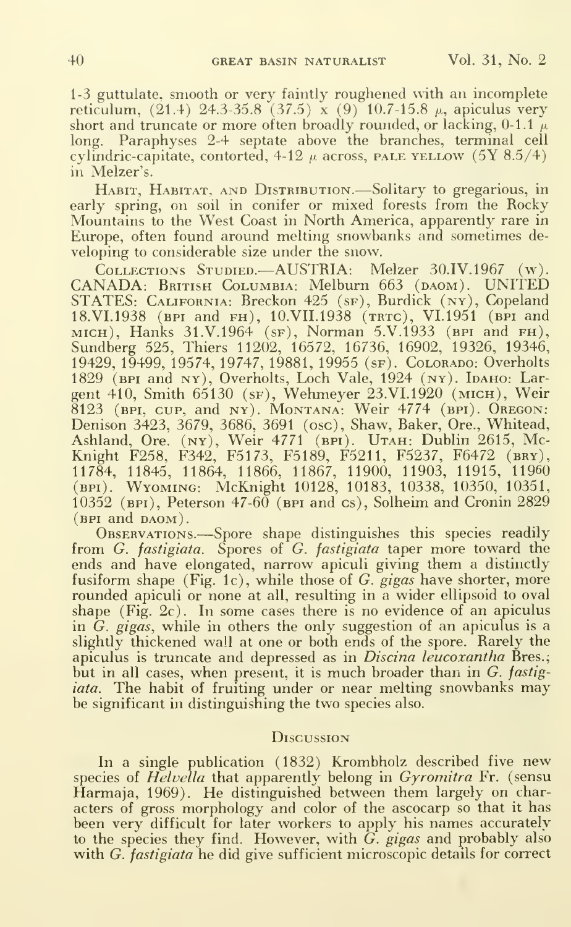1-3 guttulate. smooth or very faintly roughened with an incomplete reticulum, (21.4) 24.3-35.8 (37.5) x (9) 10.7-15.8  $\mu$ , apiculus very short and truncate or more often broadly rounded, or lacking,  $0-1.1 \mu$ long. Paraphyses 2-4 septate above the branches, terminal cell cylindric-capitate, contorted,  $4-12$  *u* across, pale yellow (5Y 8.5/4) in Melzer's.

Habit, Habitat, and Distribution.—Solitary to gregarious, in early spring, on soil in conifer or mixed forests from the Rocky Mountains to the West Coast in North America, apparently rare in Europe, often found around melting snowbanks and sometimes de veloping to considerable size under the snow.

Collections Studied.—AUSTRIA: Melzer 30.IV.1967 (w). CANADA: BRITISH COLUMBIA: Melburn 663 (DAOM). UNITED STATES: CALIFORNIA: Breckon 425 (SF), Burdick (NY), Copeland 18.VI.1938 (BPI and FH), 10.VII.1938 (TRTC), VI.1951 (BPI and mich), Hanks 31.V.1964 (sf), Norman 5.V.1933 (bpi and fh), Sundberg 525, Thiers 11202, 16572, 16736, 16902, 19326, 19346, 19429, 19499, 19574, 19747, 19881, 19955 (sf). Colorado: Overholts 1829 (врі and NY), Overholts, Loch Vale, 1924 (NY). Ірано: Largent 410, Smith 65130 (sf), Wehmeyer 23.VI.1920 (mich), Weir 8123 (bpi, cup, and ny). Montana: Weir 4774 (bpi). Oregon: Denison 3423, 3679, 3686, 3691 (osc), Shaw, Baker, Ore., Whitead, Ashland, Ore. (NY), Weir 4771 (BPI). UTAH: Dublin 2615, Mc-Knight F258, F342, F5173, F5189, F5211, F5237, F6472 (bry), 11784, 11845, 11864, 11866, 11867, 11900, 11903, 11915, 11960 (bpi). Wyoming: McKnight 10128, 10183, 10338, 10350, 10351,  $10352$  (BPI), Peterson 47-60 (BPI and cs), Solheim and Cronin 2829  $(BPI and DAOM)$ .

Observations.—Spore shape distinguishes this species readily from G. fastigiata. Spores of G. fastigiata taper more toward the ends and have elongated, narrow apiculi giving them a distinctly fusiform shape  $(Fig, 1c)$ , while those of G. gigas have shorter, more rounded apiculi or none at all, resulting in a wider ellipsoid to oval shape (Fig.  $2c$ ). In some cases there is no evidence of an apiculus in  $\tilde{G}$ . gigas, while in others the only suggestion of an apiculus is a slightly thickened wall at one or both ends of the spore. Rarely the apiculus is truncate and depressed as in Discina leucoxantha Bres.; but in all cases, when present, it is much broader than in G. fastigiata. The habit of fruiting under or near melting snowbanks may be significant in distinguishing the two species also.

#### **Discussion**

In <sup>a</sup> single publication (1832) Krombholz described five new species of  $H\acute{e}lvela$  that apparently belong in  $G\gamma$ *romitra* Fr. (sensu Harmaja, 1969). He distinguished between them largely on characters of gross morphology and color of the ascocarp so that it has been very difficult for later workers to apply his names accurately to the species they find. However, with  $\tilde{G}$ , gigas and probably also with G. *fastigiata* he did give sufficient microscopic details for correct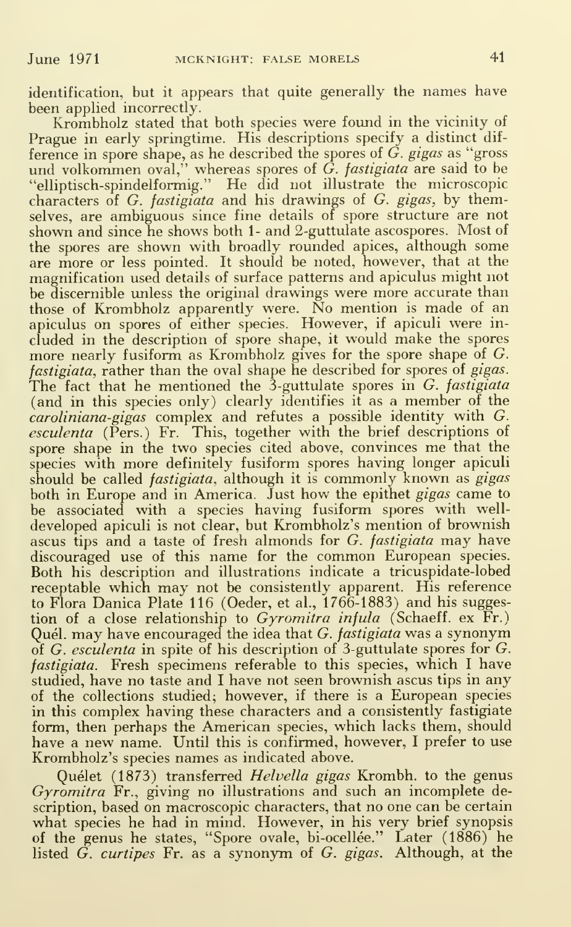identification, but it appears that quite generally the names have been applied incorrectly.

Krombholz stated that both species were found in the vicinity of Prague in early springtime. His descriptions specify a distinct dif ference in spore shape, as he described the spores of  $\ddot{G}$ , gigas as "gross" und volkommen oval," whereas spores of G. fastigiata are said to be "elliptisch-spindelformig." He did not illustrate the microscopic characters of G. *fastigiata* and his drawings of G. *gigas*, by themselves, are ambiguous since fine details of spore structure are not shown and since he shows both 1- and 2-guttulate ascospores. Most of the spores are shown with broadly rounded apices, although some are more or less pointed. It should be noted, however, that at the magnification used details of surface patterns and apiculus might not be discernible unless the original drawings were more accurate than those of Krombholz apparently were. No mention is made of an apiculus on spores of either species. However, if apiculi were in cluded in the description of spore shape, it would make the spores more nearly fusiform as Krombholz gives for the spore shape of G. fastigiata, rather than the oval shape he described for spores of gigas. The fact that he mentioned the 3-guttulate spores in G. fastigiata (and in this species only) clearly identifies it as a member of the caroliniana-gigas complex and refutes a possible identity with G.  $\emph{esculenta}$  (Pers.) Fr. This, together with the brief descriptions of spore shape in the two species cited above, convinces me that the species with more definitely fusiform spores having longer apiculi should be called *fastigiata*, although it is commonly known as gigas both in Europe and in America. Just how the epithet gigas came to be associated with a species having fusiform spores with welldeveloped apiculi is not clear, but Krombholz's mention of brownish ascus tips and <sup>a</sup> taste of fresh almonds for G. fastigiata may have discouraged use of this name for the common European species. Both his description and illustrations indicate a tricuspidate-lobed receptable which may not be consistently apparent. His reference to Flora Danica Plate 116 (Oeder, et al., 1766-1883) and his suggestion of a close relationship to Gyromitra infula (Schaeff. ex Fr.) Quél, may have encouraged the idea that G. fastigiata was a synonym of G. esculenta in spite of his description of 3-guttulate spores for  $G$ . fastigiata. Fresh specimens referable to this species, which <sup>I</sup> have studied, have no taste and I have not seen brownish ascus tips in any of the collections studied; however, if there is a European species in this complex having these characters and a consistently fastigiate form, then perhaps the American species, which lacks them, should have a new name. Until this is confirmed, however, I prefer to use Krombholz's species names as indicated above.

Quélet (1873) transferred Helvella gigas Krombh. to the genus Gyromitra Fr., giving no illustrations and such an incomplete description, based on macroscopic characters, that no one can be certain what species he had in mind. However, in his very brief synopsis of the genus he states, "Spore ovale, bi-ocellee." Later (1886) he listed  $G$ .  $curtipes$   $\mathbf{Fr.}$  as a synonym of  $G$ .  $gigas$ . Although, at the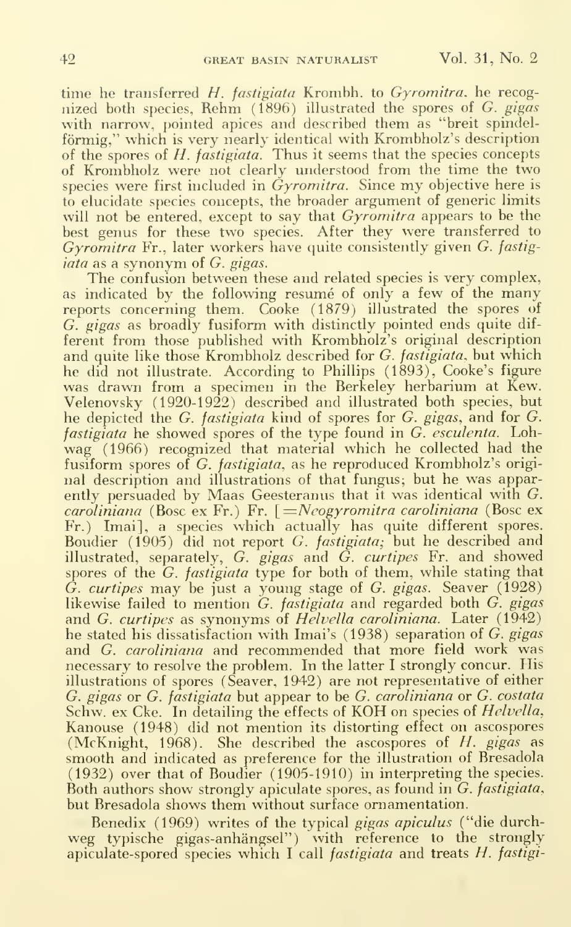time he transferred H. fastigiata Krombh. to Gyromitra, he recognized both species, Rehm (1896) illustrated the spores of G. gigas with narrow, pointed apices and described them as "breit spindelförmig," which is very nearly identical with Krombholz's description of the spores of  $H$ , *fastigiata*. Thus it seems that the species concepts of Krombholz were not clearly understood from the time the two species were first included in  $Gyromitra$ . Since my objective here is to elucidate species concepts, the broader argument of generic limits will not be entered, except to say that  $Gyr<sub>omitra</sub>$  appears to be the best genus for these two species. After they were transferred to Gyromitra Fr., later workers have quite consistently given G. fastig iata as a synonym of G. gigas.

The confusion between these and related species is very complex, as indicated by the following resume of only a few of the many reports concerning them. Cooke (1879) illustrated the spores of  $G$  gigas as broadly fusiform with distinctly pointed ends quite different from those published with Krombholz's original description and quite like those Krombholz described for  $G$ , fastigiata, but which he did not illustrate. According to Phillips (1893), Cooke's figure was drawn from a specimen in the Berkeley herbarium at Kew. Velenovsky (1920-1922) described and illustrated both species, but he depicted the G. fastigiata kind of spores for G. gigas, and for G. *fastigiata* he showed spores of the type found in  $G$ . esculenta. Lohwag (1966) recognized that material which he collected had the fusiform spores of G. fastigiata, as he reproduced Krombholz's original description and illustrations of that fungus; but he was apparently persuaded by Maas Geesteranus that it was identical with G. caroliniana (Bosc ex Fr.) Fr.  $\lceil =N\rceil$ eogyromitra caroliniana (Bosc ex Fr.) Imai], a species which actually has quite different spores. Boudier (1905) did not report G. fastigiata; but he described and illustrated, separately,  $G$ , gigas and  $\tilde{G}$ , curtipes Fr. and showed spores of the  $G$ . *fastigiata* type for both of them, while stating that  $\dot{G}$ . curtipes may be just a young stage of G. gigas. Seaver (1928) likewise failed to mention  $G$ . fastigiata and regarded both  $G$ . gigas and G. curtipes as synonyms of Helvella caroliniana. Later  $(1942)$ he stated his dissatisfaction with Imai's (1938) separation of G. gigas and G. caroliniana and recommended that more field work was necessary to resolve the problem. In the latter <sup>I</sup> strongly concur. His illustrations of spores (Seaver, 1942) are not representative of either G. gigas or G. fastigiata but appear to be G. caroliniana or G. costata Schw. ex Cke. In detailing the effects of KOH on species of *Helvella*, Kanouse (1948) did not mention its distorting effect on ascospores (McKnight, 1968). She described the ascospores of H. gigas as smooth and indicated as preference for the illustration of Bresadola (1932) over that of Boudier (1905-1910) in interpreting the species. Both authors show strongly apiculate spores, as found in G. fastigiata, but Bresadola shows them without surface ornamentation.

Benedix (1969) writes of the typical gigas apiculus ("die durchweg typische gigas-anhängsel") with reference to the strongly apiculate-spored species which  $\vec{I}$  call *fastigiata* and treats  $H$ . *fastigi*-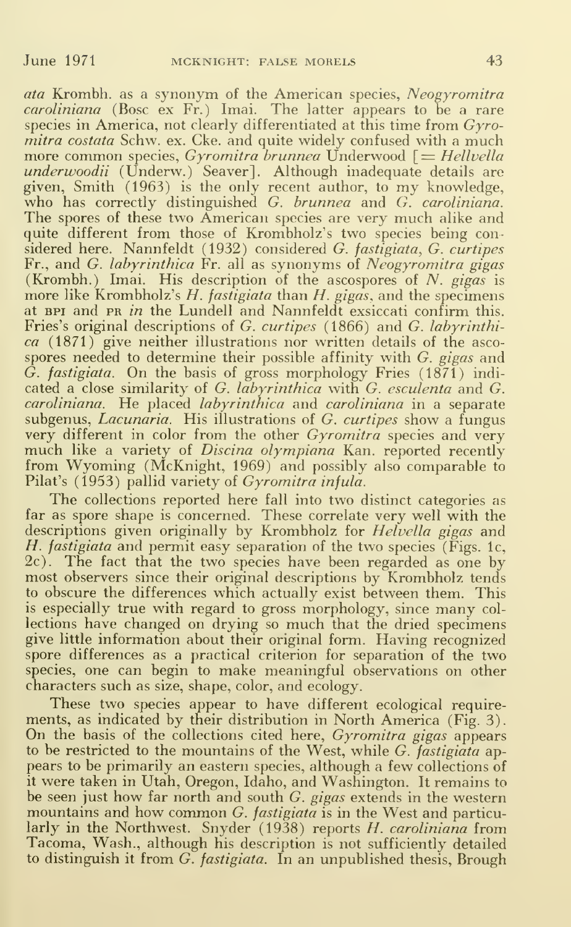ata Krombh. as a synonym of the American species, Neogyromitra caroliniana (Bosc ex Fr.) Imai. The latter appears to be a rare species in America, not clearly differentiated at this time from Gyromitra costata Schw. ex. Cke. and quite widely confused with a much more common species, *Gyromitra brunnea* Underwood  $I = Helvella$ *underwoodii* (Underw.) Seaver]. Although inadequate details are<br>given, Smith (1963) is the only recent author, to my knowledge, who has correctly distinguished G. brunnea and G. caroliniana. The spores of these two American species are very much alike and quite different from those of Krombholz's two species being considered here. Nannfeldt (1932) considered G. fastigiata, G. curtipes Fr., and G. labyrinthica Fr. all as synonyms of Neogyromitra gigas (Krombh.) Imai. His description of the ascospores of N. gigas is more like Krombholz's  $H$ . fastigiata than  $H$ . gigas, and the specimens at BPI and PR in the Lundell and Nannfeldt exsiccati confirm this. Fries's original descriptions of *G. curtipes* (1866) and *G. labyrinthi* $ca$  (1871) give neither illustrations nor written details of the ascospores needed to determine their possible affinity with  $G$ . gigas and  $\tilde{G}$ . fastigiata. On the basis of gross morphology Fries  $(1871)$  indicated a close similarity of G. *labyrinthica* with G. *esculenta* and G. caroliniana. He placed labyrinthica and caroliniana in <sup>a</sup> separate subgenus, Lacunaria. His illustrations of G. curtipes show a fungus very different in color from the other *Gyromitra* species and very much like a variety of Discina olympiana Kan. reported recently from Wyoming (McKnight, 1969) and possibly also comparable to Pilat's (1953) pallid variety of Gyromitra infula.

The collections reported here fall into two distinct categories as far as spore shape is concerned. These correlate very well with the descriptions given originally by Krombholz for Helvella gigas and H. fastigiata and permit easy separation of the two species (Figs. 1c, 2c). The fact that the two species have been regarded as one by most observers since their original descriptions by Krombholz tends to obscure the differences which actually exist between them. This is especially true with regard to gross morphology, since many col lections have changed on drying so much that the dried specimens give little information about their original form. Having recognized spore differences as a practical criterion for separation of the two species, one can begin to make meaningful observations on other characters such as size, shape, color, and ecology.

These two species appear to have different ecological requirements, as indicated by their distribution in North America (Fig. 3). On the basis of the collections cited here, Gyromitra gigas appears to be restricted to the mountains of the West, while  $G$ . *fastigiata* appears to be primarily an eastern species, although a few collections of it were taken in Utah, Oregon, Idaho, and Washington. It remains to be seen just how far north and south  $G$ . gigas extends in the western mountains and how common G. fastigiata is in the West and particularly in the Northwest. Snyder (1938) reports H. caroliniana from Tacoma, Wash., although his description is not sufficiently detailed to distinguish it from  $G$ . fastigiata. In an unpublished thesis, Brough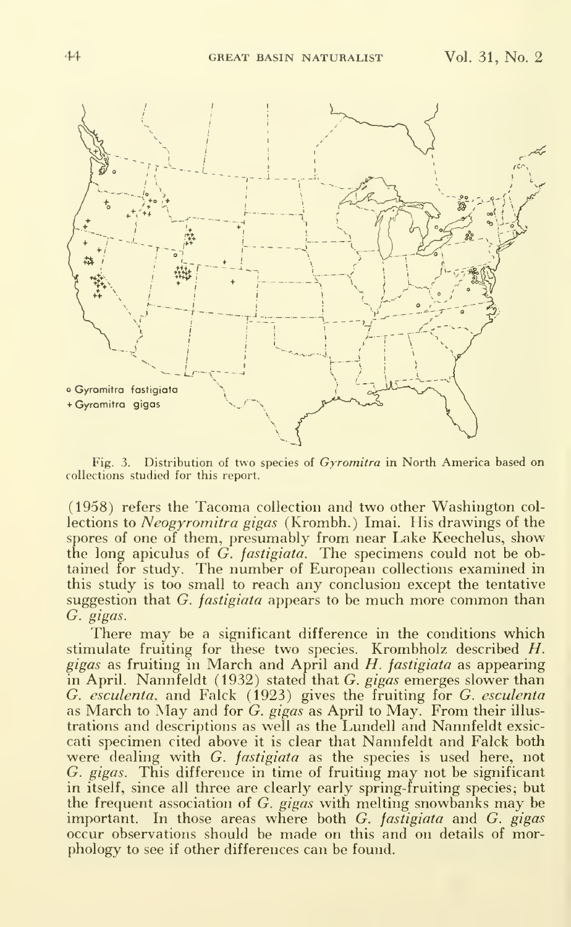

Fig. 3. Distribution of two species of Gyromitra in North America based on collections studied for this report.

(1958) refers the Tacoma collection and two other Washington col lections to Neogyromitra gigas (Krombh.) Imai. His drawings of the spores of one of them, presumably from near Lake Keechelus, show the long apiculus of G. fastigiata. The specimens could not be obtained for study. The number of European collections examined in this study is too small to reach any conclusion except the tentative suggestion that  $G$ . fastigiata appears to be much more common than G. gigas.

There may be a significant difference in the conditions which stimulate fruiting for these two species. Krombholz described  $H$ . gigas as fruiting in March and April and  $H$ . fastigiata as appearing in April. Nannfeldt (1932) stated that G. gigas emerges slower than G. esculenta, and Falck (1923) gives the fruiting for G. esculenta as March to May and for  $G.$  gigas as April to May. From their illustrations and descriptions as well as the Lundell and Nannfeldt exsiccati specimen cited above it is clear that Nannfeldt and Falck both were dealing with G. *fastigiata* as the species is used here, not G. gigas. This difference in time of fruiting may not be significant in itself, since all three are clearly early spring-fruiting species; but the frequent association of G. gigas with melting snowbanks may be important. In those areas where both G. fastigiata and G. gigas occur observations should be made on this and on details of morphology to see if other differences can be found.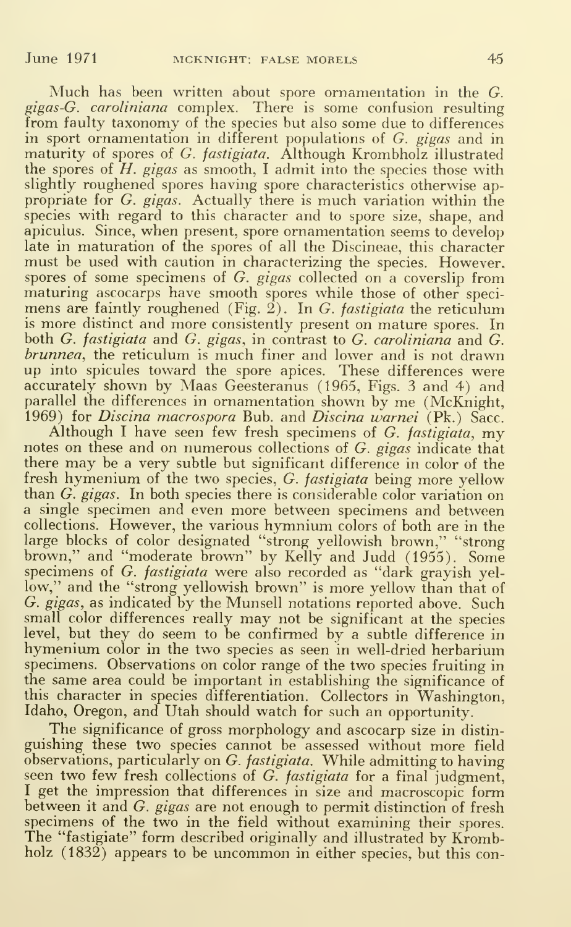Much has been written about spore ornamentation in the G. gigas-G. caroliniana complex. There is some confusion resulting from faulty taxonomy of the species but also some due to differences in sport ornamentation in different populations of G. gigas and in maturity of spores of *G. fastigiata*. Although Krombholz illustrated the spores of  $H$ , gigas as smooth, I admit into the species those with slightly roughened spores having spore characteristics otherwise ap propriate for G. gigas. Actually there is much variation within the species with regard to this character and to spore size, shape, and apiculus. Since, when present, spore ornamentation seems to develop late in maturation of the spores of all the Discineae, this character must be used with caution in characterizing the species. However, spores of some specimens of  $G$ .  $gigas$  collected on a coverslip from  $\hspace{0.2cm}$ maturing ascocarps have smooth spores while those of other speci mens are faintly roughened  $(Fig. 2)$ . In G. fastigiata the reticulum is more distinct and more consistently present on mature spores. In both G. fastigiata and G. gigas, in contrast to G. caroliniana and G. brunnea, the reticulum is much finer and lower and is not drawn up into spicules toward the spore apices. These differences were  $\vec{accurately}$  shown by Maas Geesteranus (1965, Figs. 3 and 4) and parallel the differences in ornamentation shown by me (McKnight, 1969) for *Discina macrospora* Bub. and *Discina warnei* (Pk.) Sacc.

Although I have seen few fresh specimens of  $G$ , fastigiata, my notes on these and on numerous collections of G. gigas indicate that there may be <sup>a</sup> very subtle but significant difference in color of the fresh hymenium of the two species, G. fastigiata being more yellow than  $G$ . gigas. In both species there is considerable color variation on a single specimen and even more between specimens and between collections. However, the various hymnium colors of both are in the large blocks of color designated "strong yellowish brown," "strong brown," and "moderate brown" by Kelly and Judd (1955). Some specimens of *G. fastigiata* were also recorded as "dark grayish yellow," and the "strong yellowish brown" is more yellow than that of G. gigas, as indicated by the Munsell notations reported above. Such small color differences really may not be significant at the species level, but they do seem to be confirmed by a subtle difference in hymenium color in the two species as seen in well-dried herbarium specimens. Observations on color range of the two species fruiting in the same area could be important in establishing the significance of this character in species differentiation. Collectors in Washington, Idaho, Oregon, and Utah should watch for such an opportunity.

The significance of gross morphology and ascocarp size in distin guishing these two species cannot be assessed without more field  $\delta$ bservations, particularly on  $G$ . fastigiata. While admitting to having seen two few fresh collections of  $G$ . fastigiata for a final judgment, I get the impression that differences in size and macroscopic form between it and  $G$ . gigas are not enough to permit distinction of fresh specimens of the two in the field without examining their spores. The "fastigiate" form described originally and illustrated by Krombholz (1832) appears to be uncommon in either species, but this con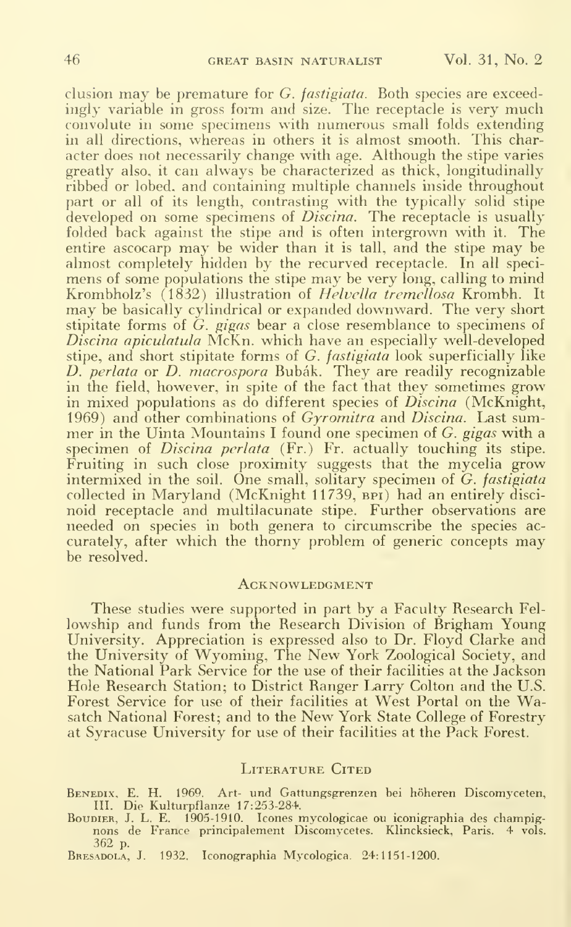elusion may be premature for G. fastigiata. Both species are exceedingly variable in gross form and size. The receptacle is very much convolute in some specimens with numerous small folds extending in all directions, whereas in others it is almost smooth. This character does not necessarily change with age. Although the stipe varies greatly also, it can always be characterized as thick, longitudinally ribbed or lobed, and containing multiple channels inside throughout part or all of its length, contrasting with the typically solid stipe developed on some specimens of *Discina*. The receptacle is usually folded back against the stipe and is often intergrown with it. The entire ascocarp may be wider than it is tall, and the stipe may be almost completely hidden by the recurved receptacle. In all speci mens of some populations the stipe may be very long, calling to mind<br>Krombholz's (1832) illustration of *Helvella tremellosa* Krombh. It may be basically cylindrical or expanded downward. The very short stipitate forms of  $\ddot{G}$ , gigas bear a close resemblance to specimens of Discina apiculatula McKn. which have an especially well-developed stipe, and short stipitate forms of G. *fastigiata* look superficially like D. perlata or D. macrospora Bubák. They are readily recognizable in the field, however, in spite of the fact that they sometimes grow in mixed populations as do different species of *Discina* (McKnight, 1969) and other combinations of *Gyromitra* and *Discina*. Last summer in the Uinta Mountains I found one specimen of G. gigas with a specimen of *Discina perlata* (Fr.) Fr. actually touching its stipe. Fruiting in such close proximity suggests that the mycelia grow intermixed in the soil. One small, solitary specimen of G. fastigiata collected in Maryland (McKnight 11739, врт) had an entirely discinoid receptacle and multilacunate stipe. Further observations are needed on species in both genera to circumscribe the species ac curately, after which the thorny problem of generic concepts may be resolved.

#### Acknowledgment

These studies were supported in part by a Faculty Research Fel lowship and funds from the Research Division of Brigham Young University. Appreciation is expressed also to Dr. Floyd Clarke and the University of Wyoming, The New York Zoological Society, and the National Park Service for the use of their facilities at the Jackson Hole Research Station; to District Ranger Larry Colton and the U.S. Forest Service for use of their facilities at West Portal on the Wasatch National Forest; and to the New York State College of Forestry at Syracuse University for use of their facilities at the Pack Forest.

#### LITERATURE CITED

BENEDIX, E. H. 1969. Art- und Gattungsgrenzen bei höheren Discomyceten, III. Die Kulturpflanze 17:253-284.

- Boudier, J. L. E. 1905-1910. Icones mycologicae ou iconigraphia des champignons de France principalement Discomvcetes. Klincksieck, Paris. 4 vols. 362 p.
- BRESADOLA, J. 1932. Iconographia Mycologica. 24:1151-1200.